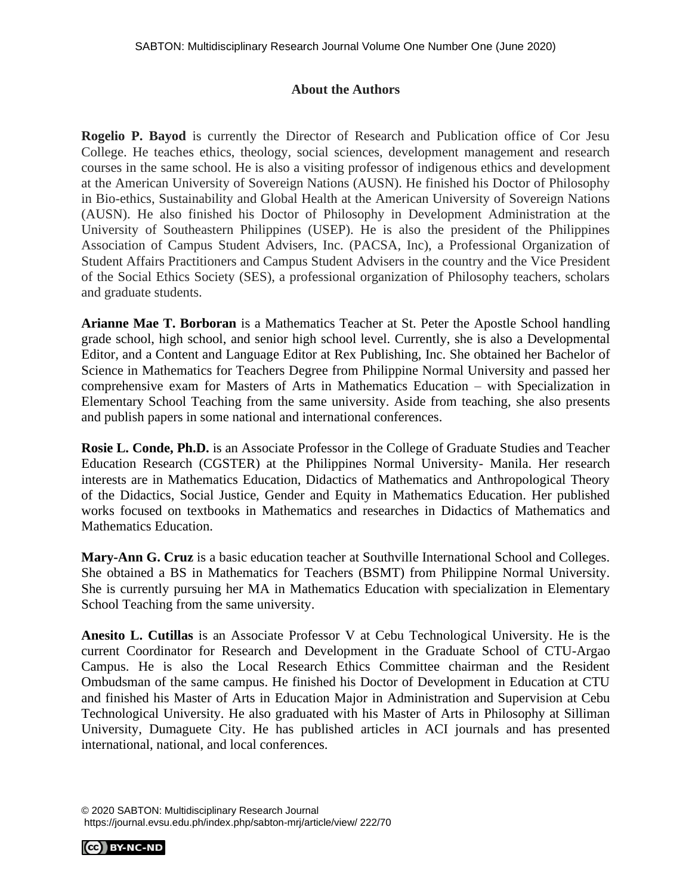## **About the Authors**

**Rogelio P. Bayod** is currently the Director of Research and Publication office of Cor Jesu College. He teaches ethics, theology, social sciences, development management and research courses in the same school. He is also a visiting professor of indigenous ethics and development at the American University of Sovereign Nations (AUSN). He finished his Doctor of Philosophy in Bio-ethics, Sustainability and Global Health at the American University of Sovereign Nations (AUSN). He also finished his Doctor of Philosophy in Development Administration at the University of Southeastern Philippines (USEP). He is also the president of the Philippines Association of Campus Student Advisers, Inc. (PACSA, Inc), a Professional Organization of Student Affairs Practitioners and Campus Student Advisers in the country and the Vice President of the Social Ethics Society (SES), a professional organization of Philosophy teachers, scholars and graduate students.

**Arianne Mae T. Borboran** is a Mathematics Teacher at St. Peter the Apostle School handling grade school, high school, and senior high school level. Currently, she is also a Developmental Editor, and a Content and Language Editor at Rex Publishing, Inc. She obtained her Bachelor of Science in Mathematics for Teachers Degree from Philippine Normal University and passed her comprehensive exam for Masters of Arts in Mathematics Education – with Specialization in Elementary School Teaching from the same university. Aside from teaching, she also presents and publish papers in some national and international conferences.

**Rosie L. Conde, Ph.D.** is an Associate Professor in the College of Graduate Studies and Teacher Education Research (CGSTER) at the Philippines Normal University- Manila. Her research interests are in Mathematics Education, Didactics of Mathematics and Anthropological Theory of the Didactics, Social Justice, Gender and Equity in Mathematics Education. Her published works focused on textbooks in Mathematics and researches in Didactics of Mathematics and Mathematics Education.

**Mary-Ann G. Cruz** is a basic education teacher at Southville International School and Colleges. She obtained a BS in Mathematics for Teachers (BSMT) from Philippine Normal University. She is currently pursuing her MA in Mathematics Education with specialization in Elementary School Teaching from the same university.

**Anesito L. Cutillas** is an Associate Professor V at Cebu Technological University. He is the current Coordinator for Research and Development in the Graduate School of CTU-Argao Campus. He is also the Local Research Ethics Committee chairman and the Resident Ombudsman of the same campus. He finished his Doctor of Development in Education at CTU and finished his Master of Arts in Education Major in Administration and Supervision at Cebu Technological University. He also graduated with his Master of Arts in Philosophy at Silliman University, Dumaguete City. He has published articles in ACI journals and has presented international, national, and local conferences.

© 2020 SABTON: Multidisciplinary Research Journal https://journal.evsu.edu.ph/index.php/sabton-mrj/article/view/ 222/70

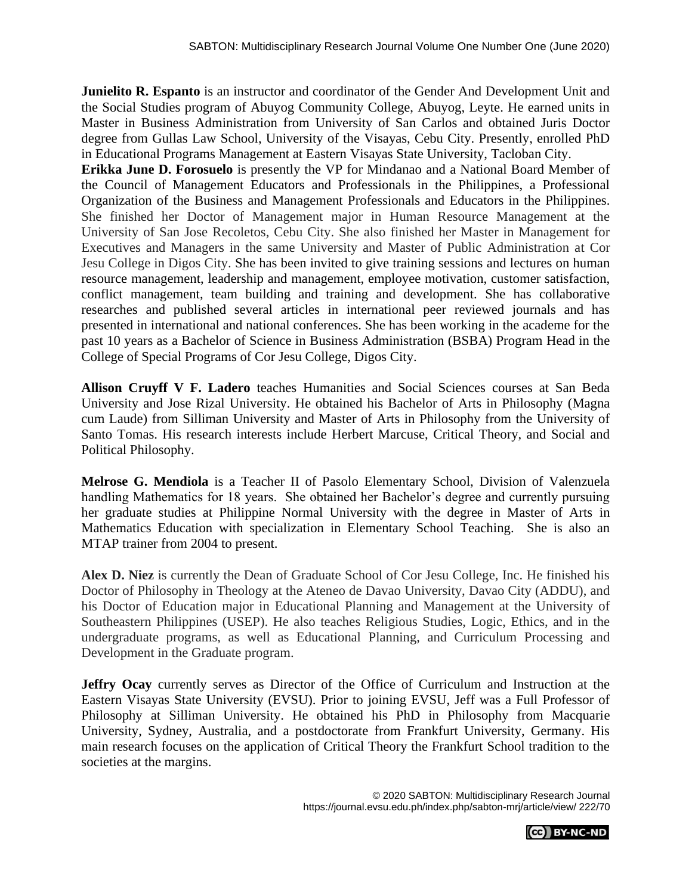**Junielito R. Espanto** is an instructor and coordinator of the Gender And Development Unit and the Social Studies program of Abuyog Community College, Abuyog, Leyte. He earned units in Master in Business Administration from University of San Carlos and obtained Juris Doctor degree from Gullas Law School, University of the Visayas, Cebu City. Presently, enrolled PhD in Educational Programs Management at Eastern Visayas State University, Tacloban City.

**Erikka June D. Forosuelo** is presently the VP for Mindanao and a National Board Member of the Council of Management Educators and Professionals in the Philippines, a Professional Organization of the Business and Management Professionals and Educators in the Philippines. She finished her Doctor of Management major in Human Resource Management at the University of San Jose Recoletos, Cebu City. She also finished her Master in Management for Executives and Managers in the same University and Master of Public Administration at Cor Jesu College in Digos City. She has been invited to give training sessions and lectures on human resource management, leadership and management, employee motivation, customer satisfaction, conflict management, team building and training and development. She has collaborative researches and published several articles in international peer reviewed journals and has presented in international and national conferences. She has been working in the academe for the past 10 years as a Bachelor of Science in Business Administration (BSBA) Program Head in the College of Special Programs of Cor Jesu College, Digos City.

**Allison Cruyff V F. Ladero** teaches Humanities and Social Sciences courses at San Beda University and Jose Rizal University. He obtained his Bachelor of Arts in Philosophy (Magna cum Laude) from Silliman University and Master of Arts in Philosophy from the University of Santo Tomas. His research interests include Herbert Marcuse, Critical Theory, and Social and Political Philosophy.

**Melrose G. Mendiola** is a Teacher II of Pasolo Elementary School, Division of Valenzuela handling Mathematics for 18 years. She obtained her Bachelor's degree and currently pursuing her graduate studies at Philippine Normal University with the degree in Master of Arts in Mathematics Education with specialization in Elementary School Teaching. She is also an MTAP trainer from 2004 to present.

**Alex D. Niez** is currently the Dean of Graduate School of Cor Jesu College, Inc. He finished his Doctor of Philosophy in Theology at the Ateneo de Davao University, Davao City (ADDU), and his Doctor of Education major in Educational Planning and Management at the University of Southeastern Philippines (USEP). He also teaches Religious Studies, Logic, Ethics, and in the undergraduate programs, as well as Educational Planning, and Curriculum Processing and Development in the Graduate program.

**Jeffry Ocay** currently serves as Director of the Office of Curriculum and Instruction at the Eastern Visayas State University (EVSU). Prior to joining EVSU, Jeff was a Full Professor of Philosophy at Silliman University. He obtained his PhD in Philosophy from Macquarie University, Sydney, Australia, and a postdoctorate from Frankfurt University, Germany. His main research focuses on the application of Critical Theory the Frankfurt School tradition to the societies at the margins.

> © 2020 SABTON: Multidisciplinary Research Journal https://journal.evsu.edu.ph/index.php/sabton-mrj/article/view/ 222/70